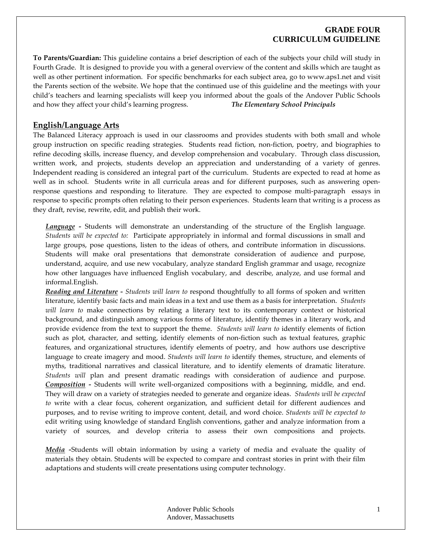### **GRADE FOUR CURRICULUM GUIDELINE**

**To Parents/Guardian:** This guideline contains a brief description of each of the subjects your child will study in Fourth Grade. It is designed to provide you with a general overview of the content and skills which are taught as well as other pertinent information. For specific benchmarks for each subject area, go to www.aps1.net and visit the Parents section of the website. We hope that the continued use of this guideline and the meetings with your child's teachers and learning specialists will keep you informed about the goals of the Andover Public Schools and how they affect your child's learning progress. *The Elementary School Principals*

#### **English/Language Arts**

The Balanced Literacy approach is used in our classrooms and provides students with both small and whole group instruction on specific reading strategies. Students read fiction, non‐fiction, poetry, and biographies to refine decoding skills, increase fluency, and develop comprehension and vocabulary. Through class discussion, written work, and projects, students develop an appreciation and understanding of a variety of genres. Independent reading is considered an integral part of the curriculum. Students are expected to read at home as well as in school. Students write in all curricula areas and for different purposes, such as answering openresponse questions and responding to literature. They are expected to compose multi-paragraph essays in response to specific prompts often relating to their person experiences. Students learn that writing is a process as they draft, revise, rewrite, edit, and publish their work.

*Language* - Students will demonstrate an understanding of the structure of the English language. *Students will be expected to:* Participate appropriately in informal and formal discussions in small and large groups, pose questions, listen to the ideas of others, and contribute information in discussions. Students will make oral presentations that demonstrate consideration of audience and purpose, understand, acquire, and use new vocabulary, analyze standard English grammar and usage, recognize how other languages have influenced English vocabulary, and describe, analyze, and use formal and informal.English.

*Reading and Literature ‐ Students will learn to* respond thoughtfully to all forms of spoken and written literature, identify basic facts and main ideas in a text and use them as a basis for interpretation. *Students will learn to* make connections by relating a literary text to its contemporary context or historical background, and distinguish among various forms of literature, identify themes in a literary work, and provide evidence from the text to support the theme. *Students will learn to* identify elements of fiction such as plot, character, and setting, identify elements of non-fiction such as textual features, graphic features, and organizational structures, identify elements of poetry, and how authors use descriptive language to create imagery and mood. *Students will learn to* identify themes, structure, and elements of myths, traditional narratives and classical literature, and to identify elements of dramatic literature. *Students will* plan and present dramatic readings with consideration of audience and purpose. *Composition ‐*  Students will write well‐organized compositions with a beginning, middle, and end. They will draw on a variety of strategies needed to generate and organize ideas. *Students will be expected to* write with a clear focus, coherent organization, and sufficient detail for different audiences and purposes, and to revise writing to improve content, detail, and word choice. *Students will be expected to* edit writing using knowledge of standard English conventions, gather and analyze information from a variety of sources, and develop criteria to assess their own compositions and projects.

*Media ‐*Students will obtain information by using a variety of media and evaluate the quality of materials they obtain. Students will be expected to compare and contrast stories in print with their film adaptations and students will create presentations using computer technology.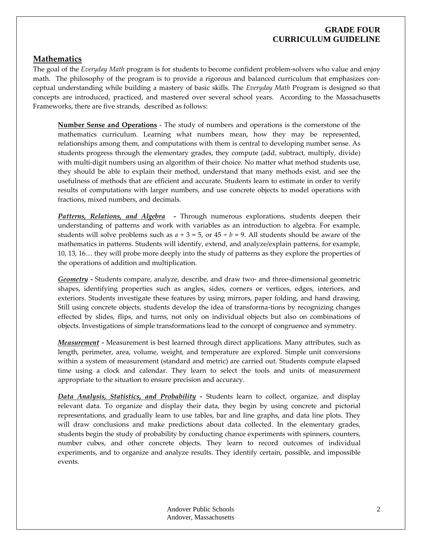## **GRADE FOUR CURRICULUM GUIDELINE**

### **Mathematics**

The goal of the *Everyday Math* program is for students to become confident problem‐solvers who value and enjoy math. The philosophy of the program is to provide a rigorous and balanced curriculum that emphasizes conceptual understanding while building a mastery of basic skills. The *Everyday Math* Program is designed so that concepts are introduced, practiced, and mastered over several school years. According to the Massachusetts Frameworks, there are five strands, described as follows:

**Number Sense and Operations** ‐ The study of numbers and operations is the cornerstone of the mathematics curriculum. Learning what numbers mean, how they may be represented, relationships among them, and computations with them is central to developing number sense. As students progress through the elementary grades, they compute (add, subtract, multiply, divide) with multi-digit numbers using an algorithm of their choice. No matter what method students use, they should be able to explain their method, understand that many methods exist, and see the usefulness of methods that are efficient and accurate. Students learn to estimate in order to verify results of computations with larger numbers, and use concrete objects to model operations with fractions, mixed numbers, and decimals.

*Patterns, Relations, and Algebra ‐*  Through numerous explorations, students deepen their understanding of patterns and work with variables as an introduction to algebra. For example, students will solve problems such as  $a + 3 = 5$ , or  $45 \div b = 9$ . All students should be aware of the mathematics in patterns. Students will identify, extend, and analyze/explain patterns, for example, 10, 13, 16… they will probe more deeply into the study of patterns as they explore the properties of the operations of addition and multiplication.

*Geometry* - Students compare, analyze, describe, and draw two- and three-dimensional geometric shapes, identifying properties such as angles, sides, corners or vertices, edges, interiors, and exteriors. Students investigate these features by using mirrors, paper folding, and hand drawing. Still using concrete objects, students develop the idea of transforma‐tions by recognizing changes effected by slides, flips, and turns, not only on individual objects but also on combinations of objects. Investigations of simple transformations lead to the concept of congruence and symmetry.

*Measurement ‐* Measurement is best learned through direct applications. Many attributes, such as length, perimeter, area, volume, weight, and temperature are explored. Simple unit conversions within a system of measurement (standard and metric) are carried out. Students compute elapsed time using a clock and calendar. They learn to select the tools and units of measurement appropriate to the situation to ensure precision and accuracy.

*Data Analysis, Statistics, and Probability ‐*  Students learn to collect, organize, and display relevant data. To organize and display their data, they begin by using concrete and pictorial representations, and gradually learn to use tables, bar and line graphs, and data line plots. They will draw conclusions and make predictions about data collected. In the elementary grades, students begin the study of probability by conducting chance experiments with spinners, counters, number cubes, and other concrete objects. They learn to record outcomes of individual experiments, and to organize and analyze results. They identify certain, possible, and impossible events.